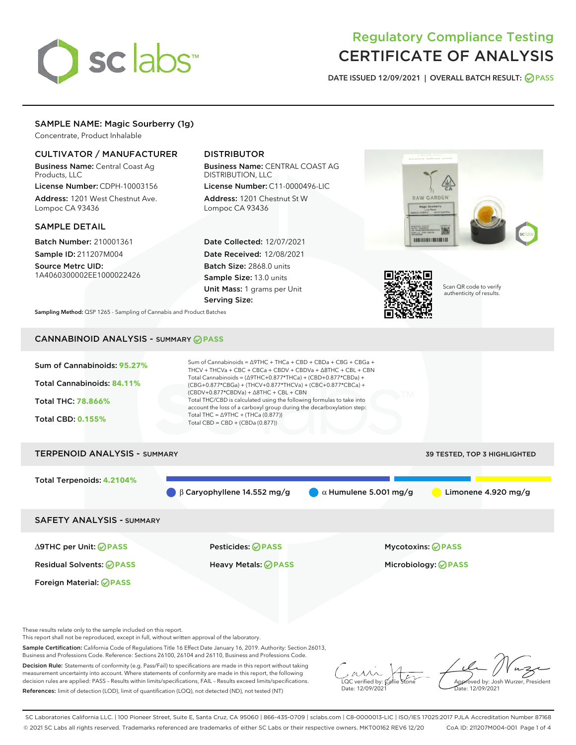

# Regulatory Compliance Testing CERTIFICATE OF ANALYSIS

DATE ISSUED 12/09/2021 | OVERALL BATCH RESULT: @ PASS

## SAMPLE NAME: Magic Sourberry (1g)

Concentrate, Product Inhalable

### CULTIVATOR / MANUFACTURER

Business Name: Central Coast Ag Products, LLC

License Number: CDPH-10003156 Address: 1201 West Chestnut Ave. Lompoc CA 93436

#### SAMPLE DETAIL

Batch Number: 210001361 Sample ID: 211207M004

Source Metrc UID: 1A4060300002EE1000022426

## DISTRIBUTOR

Business Name: CENTRAL COAST AG DISTRIBUTION, LLC License Number: C11-0000496-LIC

Address: 1201 Chestnut St W Lompoc CA 93436

Date Collected: 12/07/2021 Date Received: 12/08/2021 Batch Size: 2868.0 units Sample Size: 13.0 units Unit Mass: 1 grams per Unit Serving Size:





Scan QR code to verify authenticity of results.

Sampling Method: QSP 1265 - Sampling of Cannabis and Product Batches

# CANNABINOID ANALYSIS - SUMMARY **PASS**



SAFETY ANALYSIS - SUMMARY

∆9THC per Unit: **PASS** Pesticides: **PASS** Mycotoxins: **PASS**

Foreign Material: **PASS**

Residual Solvents: **PASS** Heavy Metals: **PASS** Microbiology: **PASS**

These results relate only to the sample included on this report.

This report shall not be reproduced, except in full, without written approval of the laboratory.

Sample Certification: California Code of Regulations Title 16 Effect Date January 16, 2019. Authority: Section 26013, Business and Professions Code. Reference: Sections 26100, 26104 and 26110, Business and Professions Code.

Decision Rule: Statements of conformity (e.g. Pass/Fail) to specifications are made in this report without taking measurement uncertainty into account. Where statements of conformity are made in this report, the following decision rules are applied: PASS – Results within limits/specifications, FAIL – Results exceed limits/specifications. References: limit of detection (LOD), limit of quantification (LOQ), not detected (ND), not tested (NT)

 $\overline{\text{C}}$  verified by:  $\mathcal C$ Date: 12/09/2021

Approved by: Josh Wurzer, President ate: 12/09/2021

SC Laboratories California LLC. | 100 Pioneer Street, Suite E, Santa Cruz, CA 95060 | 866-435-0709 | sclabs.com | C8-0000013-LIC | ISO/IES 17025:2017 PJLA Accreditation Number 87168 © 2021 SC Labs all rights reserved. Trademarks referenced are trademarks of either SC Labs or their respective owners. MKT00162 REV6 12/20 CoA ID: 211207M004-001 Page 1 of 4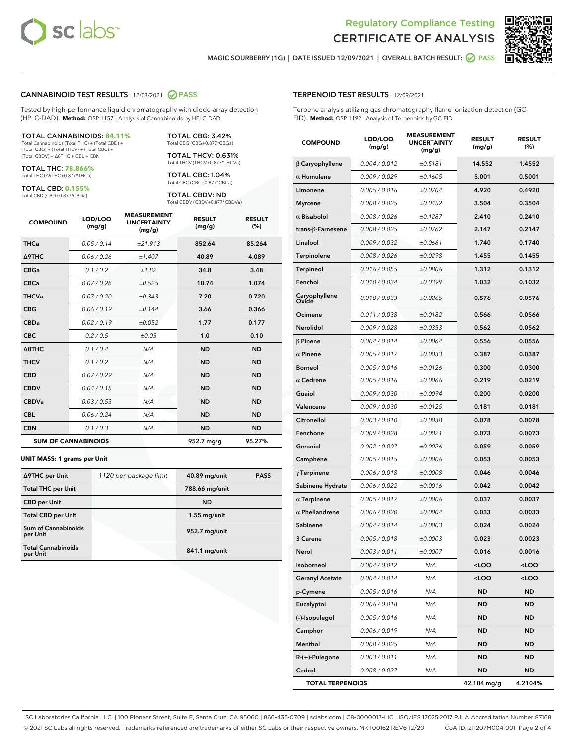



MAGIC SOURBERRY (1G) | DATE ISSUED 12/09/2021 | OVERALL BATCH RESULT: @ PASS

#### CANNABINOID TEST RESULTS - 12/08/2021 2 PASS

Tested by high-performance liquid chromatography with diode-array detection (HPLC-DAD). **Method:** QSP 1157 - Analysis of Cannabinoids by HPLC-DAD

#### TOTAL CANNABINOIDS: **84.11%**

Total Cannabinoids (Total THC) + (Total CBD) + (Total CBG) + (Total THCV) + (Total CBC) + (Total CBDV) + ∆8THC + CBL + CBN

TOTAL THC: **78.866%** Total THC (∆9THC+0.877\*THCa)

TOTAL CBD: **0.155%** Total CBD (CBD+0.877\*CBDa)

TOTAL CBG: 3.42% Total CBG (CBG+0.877\*CBGa)

TOTAL THCV: 0.631% Total THCV (THCV+0.877\*THCVa)

TOTAL CBC: 1.04% Total CBC (CBC+0.877\*CBCa)

TOTAL CBDV: ND Total CBDV (CBDV+0.877\*CBDVa)

| <b>COMPOUND</b>  | LOD/LOQ<br>(mg/g)          | <b>MEASUREMENT</b><br><b>UNCERTAINTY</b><br>(mg/g) | <b>RESULT</b><br>(mg/g) | <b>RESULT</b><br>(%) |
|------------------|----------------------------|----------------------------------------------------|-------------------------|----------------------|
| <b>THCa</b>      | 0.05 / 0.14                | ±21.913                                            | 852.64                  | 85.264               |
| <b>A9THC</b>     | 0.06 / 0.26                | ±1.407                                             | 40.89                   | 4.089                |
| <b>CBGa</b>      | 0.1 / 0.2                  | ±1.82                                              | 34.8                    | 3.48                 |
| <b>CBCa</b>      | 0.07 / 0.28                | ±0.525                                             | 10.74                   | 1.074                |
| <b>THCVa</b>     | 0.07/0.20                  | ±0.343                                             | 7.20                    | 0.720                |
| <b>CBG</b>       | 0.06/0.19                  | ±0.144                                             | 3.66                    | 0.366                |
| <b>CBDa</b>      | 0.02/0.19                  | ±0.052                                             | 1.77                    | 0.177                |
| <b>CBC</b>       | 0.2 / 0.5                  | ±0.03                                              | 1.0                     | 0.10                 |
| $\triangle$ 8THC | 0.1/0.4                    | N/A                                                | <b>ND</b>               | <b>ND</b>            |
| <b>THCV</b>      | 0.1/0.2                    | N/A                                                | <b>ND</b>               | <b>ND</b>            |
| <b>CBD</b>       | 0.07/0.29                  | N/A                                                | <b>ND</b>               | <b>ND</b>            |
| <b>CBDV</b>      | 0.04 / 0.15                | N/A                                                | <b>ND</b>               | <b>ND</b>            |
| <b>CBDVa</b>     | 0.03 / 0.53                | N/A                                                | <b>ND</b>               | <b>ND</b>            |
| <b>CBL</b>       | 0.06 / 0.24                | N/A                                                | <b>ND</b>               | <b>ND</b>            |
| <b>CBN</b>       | 0.1/0.3                    | N/A                                                | <b>ND</b>               | <b>ND</b>            |
|                  | <b>SUM OF CANNABINOIDS</b> |                                                    | 952.7 mg/g              | 95.27%               |

#### **UNIT MASS: 1 grams per Unit**

| ∆9THC per Unit                        | 1120 per-package limit | 40.89 mg/unit  | <b>PASS</b> |
|---------------------------------------|------------------------|----------------|-------------|
| <b>Total THC per Unit</b>             |                        | 788.66 mg/unit |             |
| <b>CBD per Unit</b>                   |                        | <b>ND</b>      |             |
| <b>Total CBD per Unit</b>             |                        | $1.55$ mg/unit |             |
| Sum of Cannabinoids<br>per Unit       |                        | 952.7 mg/unit  |             |
| <b>Total Cannabinoids</b><br>per Unit |                        | 841.1 mg/unit  |             |

#### TERPENOID TEST RESULTS - 12/09/2021

Terpene analysis utilizing gas chromatography-flame ionization detection (GC-FID). **Method:** QSP 1192 - Analysis of Terpenoids by GC-FID

| <b>COMPOUND</b>         | LOD/LOQ<br>(mg/g)    | <b>MEASUREMENT</b><br><b>UNCERTAINTY</b><br>(mg/g) | <b>RESULT</b><br>(mg/g)                         | <b>RESULT</b><br>(%) |
|-------------------------|----------------------|----------------------------------------------------|-------------------------------------------------|----------------------|
| $\beta$ Caryophyllene   | 0.004 / 0.012        | ±0.5181                                            | 14.552                                          | 1.4552               |
| $\alpha$ Humulene       | 0.009/0.029          | ±0.1605                                            | 5.001                                           | 0.5001               |
| Limonene                | 0.005 / 0.016        | ±0.0704                                            | 4.920                                           | 0.4920               |
| <b>Myrcene</b>          | 0.008 / 0.025        | ±0.0452                                            | 3.504                                           | 0.3504               |
| $\alpha$ Bisabolol      | 0.008 / 0.026        | ±0.1287                                            | 2.410                                           | 0.2410               |
| trans-β-Farnesene       | 0.008 / 0.025        | ±0.0762                                            | 2.147                                           | 0.2147               |
| Linalool                | 0.009 / 0.032        | ±0.0661                                            | 1.740                                           | 0.1740               |
| Terpinolene             | 0.008 / 0.026        | ±0.0298                                            | 1.455                                           | 0.1455               |
| <b>Terpineol</b>        | 0.016 / 0.055        | ±0.0806                                            | 1.312                                           | 0.1312               |
| Fenchol                 | 0.010 / 0.034        | ±0.0399                                            | 1.032                                           | 0.1032               |
| Caryophyllene<br>Oxide  | 0.010 / 0.033        | ±0.0265                                            | 0.576                                           | 0.0576               |
| Ocimene                 | 0.011 / 0.038        | ±0.0182                                            | 0.566                                           | 0.0566               |
| Nerolidol               | 0.009 / 0.028        | ±0.0353                                            | 0.562                                           | 0.0562               |
| $\beta$ Pinene          | 0.004 / 0.014        | ±0.0064                                            | 0.556                                           | 0.0556               |
| $\alpha$ Pinene         | 0.005 / 0.017        | ±0.0033                                            | 0.387                                           | 0.0387               |
| Borneol                 | 0.005 / 0.016        | ±0.0126                                            | 0.300                                           | 0.0300               |
| $\alpha$ Cedrene        | 0.005 / 0.016        | ±0.0066                                            | 0.219                                           | 0.0219               |
| Guaiol                  | 0.009 / 0.030        | ±0.0094                                            | 0.200                                           | 0.0200               |
| Valencene               | <i>0.009 / 0.030</i> | ±0.0125                                            | 0.181                                           | 0.0181               |
| Citronellol             | 0.003 / 0.010        | ±0.0038                                            | 0.078                                           | 0.0078               |
| Fenchone                | 0.009 / 0.028        | ±0.0021                                            | 0.073                                           | 0.0073               |
| Geraniol                | 0.002 / 0.007        | ±0.0026                                            | 0.059                                           | 0.0059               |
| Camphene                | 0.005 / 0.015        | ±0.0006                                            | 0.053                                           | 0.0053               |
| $\gamma$ Terpinene      | 0.006 / 0.018        | ±0.0008                                            | 0.046                                           | 0.0046               |
| Sabinene Hydrate        | 0.006 / 0.022        | ±0.0016                                            | 0.042                                           | 0.0042               |
| $\alpha$ Terpinene      | 0.005 / 0.017        | ±0.0006                                            | 0.037                                           | 0.0037               |
| $\alpha$ Phellandrene   | 0.006 / 0.020        | ±0.0004                                            | 0.033                                           | 0.0033               |
| Sabinene                | 0.004 / 0.014        | ±0.0003                                            | 0.024                                           | 0.0024               |
| 3 Carene                | 0.005 / 0.018        | ±0.0003                                            | 0.023                                           | 0.0023               |
| Nerol                   | 0.003 / 0.011        | ±0.0007                                            | 0.016                                           | 0.0016               |
| Isoborneol              | 0.004 / 0.012        | N/A                                                | <loq< th=""><th><loq< th=""></loq<></th></loq<> | <loq< th=""></loq<>  |
| <b>Geranyl Acetate</b>  | 0.004 / 0.014        | N/A                                                | <loq< th=""><th><loq< th=""></loq<></th></loq<> | <loq< th=""></loq<>  |
| p-Cymene                | 0.005 / 0.016        | N/A                                                | <b>ND</b>                                       | ND                   |
| Eucalyptol              | 0.006 / 0.018        | N/A                                                | ND                                              | ND                   |
| (-)-Isopulegol          | 0.005 / 0.016        | N/A                                                | ND                                              | ND                   |
| Camphor                 | 0.006 / 0.019        | N/A                                                | <b>ND</b>                                       | ND                   |
| Menthol                 | 0.008 / 0.025        | N/A                                                | ND                                              | ND                   |
| R-(+)-Pulegone          | 0.003 / 0.011        | N/A                                                | ND                                              | ND                   |
| Cedrol                  | 0.008 / 0.027        | N/A                                                | <b>ND</b>                                       | ND                   |
| <b>TOTAL TERPENOIDS</b> |                      |                                                    | 42.104 mg/g                                     | 4.2104%              |

SC Laboratories California LLC. | 100 Pioneer Street, Suite E, Santa Cruz, CA 95060 | 866-435-0709 | sclabs.com | C8-0000013-LIC | ISO/IES 17025:2017 PJLA Accreditation Number 87168 © 2021 SC Labs all rights reserved. Trademarks referenced are trademarks of either SC Labs or their respective owners. MKT00162 REV6 12/20 CoA ID: 211207M004-001 Page 2 of 4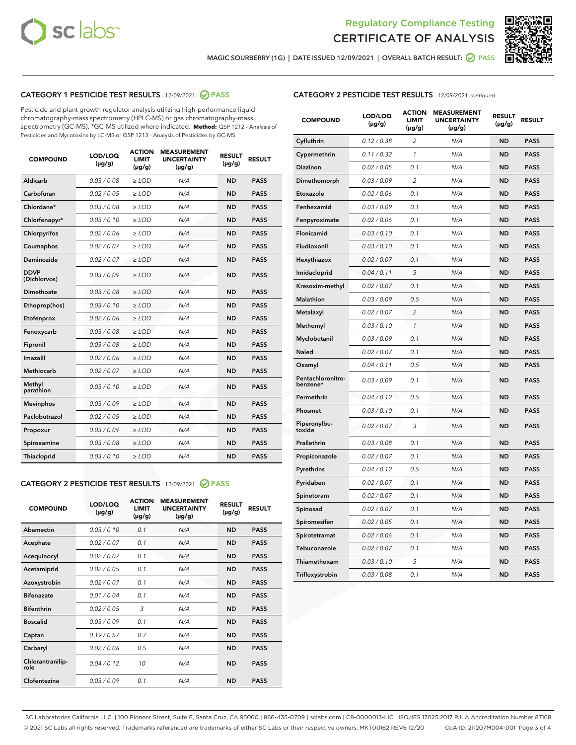



MAGIC SOURBERRY (1G) | DATE ISSUED 12/09/2021 | OVERALL BATCH RESULT: @ PASS

#### CATEGORY 1 PESTICIDE TEST RESULTS - 12/09/2021 @ PASS

Pesticide and plant growth regulator analysis utilizing high-performance liquid chromatography-mass spectrometry (HPLC-MS) or gas chromatography-mass spectrometry (GC-MS). \*GC-MS utilized where indicated. **Method:** QSP 1212 - Analysis of Pesticides and Mycotoxins by LC-MS or QSP 1213 - Analysis of Pesticides by GC-MS

| <b>COMPOUND</b>             | LOD/LOQ<br>$(\mu g/g)$ | <b>ACTION</b><br><b>LIMIT</b><br>$(\mu g/g)$ | <b>MEASUREMENT</b><br><b>UNCERTAINTY</b><br>$(\mu g/g)$ | <b>RESULT</b><br>$(\mu g/g)$ | <b>RESULT</b> |
|-----------------------------|------------------------|----------------------------------------------|---------------------------------------------------------|------------------------------|---------------|
| Aldicarb                    | 0.03 / 0.08            | $\ge$ LOD                                    | N/A                                                     | <b>ND</b>                    | <b>PASS</b>   |
| Carbofuran                  | 0.02 / 0.05            | $\ge$ LOD                                    | N/A                                                     | <b>ND</b>                    | <b>PASS</b>   |
| Chlordane*                  | 0.03 / 0.08            | $\ge$ LOD                                    | N/A                                                     | <b>ND</b>                    | <b>PASS</b>   |
| Chlorfenapyr*               | 0.03/0.10              | $\ge$ LOD                                    | N/A                                                     | <b>ND</b>                    | <b>PASS</b>   |
| Chlorpyrifos                | 0.02 / 0.06            | $\ge$ LOD                                    | N/A                                                     | <b>ND</b>                    | <b>PASS</b>   |
| Coumaphos                   | 0.02 / 0.07            | $\ge$ LOD                                    | N/A                                                     | <b>ND</b>                    | <b>PASS</b>   |
| Daminozide                  | 0.02 / 0.07            | $\ge$ LOD                                    | N/A                                                     | <b>ND</b>                    | <b>PASS</b>   |
| <b>DDVP</b><br>(Dichlorvos) | 0.03/0.09              | $\ge$ LOD                                    | N/A                                                     | <b>ND</b>                    | <b>PASS</b>   |
| Dimethoate                  | 0.03 / 0.08            | $\ge$ LOD                                    | N/A                                                     | <b>ND</b>                    | <b>PASS</b>   |
| Ethoprop(hos)               | 0.03/0.10              | $\ge$ LOD                                    | N/A                                                     | <b>ND</b>                    | <b>PASS</b>   |
| Etofenprox                  | 0.02/0.06              | $>$ LOD                                      | N/A                                                     | <b>ND</b>                    | <b>PASS</b>   |
| Fenoxycarb                  | 0.03 / 0.08            | $>$ LOD                                      | N/A                                                     | <b>ND</b>                    | <b>PASS</b>   |
| Fipronil                    | 0.03 / 0.08            | $>$ LOD                                      | N/A                                                     | <b>ND</b>                    | <b>PASS</b>   |
| Imazalil                    | 0.02 / 0.06            | $\ge$ LOD                                    | N/A                                                     | <b>ND</b>                    | <b>PASS</b>   |
| <b>Methiocarb</b>           | 0.02 / 0.07            | $\ge$ LOD                                    | N/A                                                     | <b>ND</b>                    | <b>PASS</b>   |
| Methyl<br>parathion         | 0.03/0.10              | $\ge$ LOD                                    | N/A                                                     | <b>ND</b>                    | <b>PASS</b>   |
| <b>Mevinphos</b>            | 0.03/0.09              | $\ge$ LOD                                    | N/A                                                     | <b>ND</b>                    | <b>PASS</b>   |
| Paclobutrazol               | 0.02 / 0.05            | $\ge$ LOD                                    | N/A                                                     | <b>ND</b>                    | <b>PASS</b>   |
| Propoxur                    | 0.03/0.09              | $\ge$ LOD                                    | N/A                                                     | <b>ND</b>                    | <b>PASS</b>   |
| Spiroxamine                 | 0.03 / 0.08            | $\ge$ LOD                                    | N/A                                                     | <b>ND</b>                    | <b>PASS</b>   |
| Thiacloprid                 | 0.03/0.10              | $\ge$ LOD                                    | N/A                                                     | <b>ND</b>                    | <b>PASS</b>   |

#### CATEGORY 2 PESTICIDE TEST RESULTS - 12/09/2021 @ PASS

| <b>COMPOUND</b>          | LOD/LOQ<br>$(\mu g/g)$ | <b>ACTION</b><br><b>LIMIT</b><br>$(\mu g/g)$ | <b>MEASUREMENT</b><br><b>UNCERTAINTY</b><br>$(\mu g/g)$ | <b>RESULT</b><br>$(\mu g/g)$ | <b>RESULT</b> |
|--------------------------|------------------------|----------------------------------------------|---------------------------------------------------------|------------------------------|---------------|
| Abamectin                | 0.03/0.10              | 0.1                                          | N/A                                                     | <b>ND</b>                    | <b>PASS</b>   |
| Acephate                 | 0.02/0.07              | 0.1                                          | N/A                                                     | <b>ND</b>                    | <b>PASS</b>   |
| Acequinocyl              | 0.02/0.07              | 0.1                                          | N/A                                                     | <b>ND</b>                    | <b>PASS</b>   |
| Acetamiprid              | 0.02/0.05              | 0.1                                          | N/A                                                     | <b>ND</b>                    | <b>PASS</b>   |
| Azoxystrobin             | 0.02/0.07              | 0.1                                          | N/A                                                     | <b>ND</b>                    | <b>PASS</b>   |
| <b>Bifenazate</b>        | 0.01/0.04              | 0.1                                          | N/A                                                     | <b>ND</b>                    | <b>PASS</b>   |
| <b>Bifenthrin</b>        | 0.02/0.05              | 3                                            | N/A                                                     | <b>ND</b>                    | <b>PASS</b>   |
| <b>Boscalid</b>          | 0.03/0.09              | 0.1                                          | N/A                                                     | <b>ND</b>                    | <b>PASS</b>   |
| Captan                   | 0.19/0.57              | 0.7                                          | N/A                                                     | <b>ND</b>                    | <b>PASS</b>   |
| Carbaryl                 | 0.02/0.06              | 0.5                                          | N/A                                                     | <b>ND</b>                    | <b>PASS</b>   |
| Chlorantranilip-<br>role | 0.04/0.12              | 10                                           | N/A                                                     | <b>ND</b>                    | <b>PASS</b>   |
| Clofentezine             | 0.03/0.09              | 0.1                                          | N/A                                                     | <b>ND</b>                    | <b>PASS</b>   |

## CATEGORY 2 PESTICIDE TEST RESULTS - 12/09/2021 continued

| <b>COMPOUND</b>               | LOD/LOQ<br>(µg/g) | <b>ACTION</b><br><b>LIMIT</b><br>$(\mu g/g)$ | <b>MEASUREMENT</b><br><b>UNCERTAINTY</b><br>$(\mu g/g)$ | <b>RESULT</b><br>(µg/g) | <b>RESULT</b> |
|-------------------------------|-------------------|----------------------------------------------|---------------------------------------------------------|-------------------------|---------------|
| Cyfluthrin                    | 0.12 / 0.38       | $\overline{c}$                               | N/A                                                     | ND                      | <b>PASS</b>   |
| Cypermethrin                  | 0.11 / 0.32       | $\mathcal{I}$                                | N/A                                                     | ND                      | <b>PASS</b>   |
| <b>Diazinon</b>               | 0.02 / 0.05       | 0.1                                          | N/A                                                     | <b>ND</b>               | <b>PASS</b>   |
| Dimethomorph                  | 0.03 / 0.09       | 2                                            | N/A                                                     | ND                      | <b>PASS</b>   |
| Etoxazole                     | 0.02 / 0.06       | 0.1                                          | N/A                                                     | ND                      | <b>PASS</b>   |
| Fenhexamid                    | 0.03 / 0.09       | 0.1                                          | N/A                                                     | ND                      | <b>PASS</b>   |
| Fenpyroximate                 | 0.02 / 0.06       | 0.1                                          | N/A                                                     | <b>ND</b>               | <b>PASS</b>   |
| Flonicamid                    | 0.03 / 0.10       | 0.1                                          | N/A                                                     | ND                      | <b>PASS</b>   |
| Fludioxonil                   | 0.03 / 0.10       | 0.1                                          | N/A                                                     | ND                      | <b>PASS</b>   |
| Hexythiazox                   | 0.02 / 0.07       | 0.1                                          | N/A                                                     | ND                      | <b>PASS</b>   |
| Imidacloprid                  | 0.04 / 0.11       | 5                                            | N/A                                                     | ND                      | <b>PASS</b>   |
| Kresoxim-methyl               | 0.02 / 0.07       | 0.1                                          | N/A                                                     | ND                      | <b>PASS</b>   |
| Malathion                     | 0.03 / 0.09       | 0.5                                          | N/A                                                     | ND                      | <b>PASS</b>   |
| Metalaxyl                     | 0.02 / 0.07       | $\overline{c}$                               | N/A                                                     | ND                      | <b>PASS</b>   |
| Methomyl                      | 0.03 / 0.10       | $\mathbf{1}$                                 | N/A                                                     | ND                      | <b>PASS</b>   |
| Myclobutanil                  | 0.03 / 0.09       | 0.1                                          | N/A                                                     | <b>ND</b>               | <b>PASS</b>   |
| Naled                         | 0.02 / 0.07       | 0.1                                          | N/A                                                     | ND                      | <b>PASS</b>   |
| Oxamyl                        | 0.04 / 0.11       | 0.5                                          | N/A                                                     | ND                      | PASS          |
| Pentachloronitro-<br>benzene* | 0.03 / 0.09       | 0.1                                          | N/A                                                     | ND                      | <b>PASS</b>   |
| Permethrin                    | 0.04 / 0.12       | 0.5                                          | N/A                                                     | ND                      | <b>PASS</b>   |
| Phosmet                       | 0.03 / 0.10       | 0.1                                          | N/A                                                     | ND                      | <b>PASS</b>   |
| Piperonylbu-<br>toxide        | 0.02 / 0.07       | 3                                            | N/A                                                     | <b>ND</b>               | <b>PASS</b>   |
| Prallethrin                   | 0.03 / 0.08       | 0.1                                          | N/A                                                     | ND                      | <b>PASS</b>   |
| Propiconazole                 | 0.02 / 0.07       | 0.1                                          | N/A                                                     | <b>ND</b>               | <b>PASS</b>   |
| Pyrethrins                    | 0.04 / 0.12       | 0.5                                          | N/A                                                     | ND                      | <b>PASS</b>   |
| Pyridaben                     | 0.02 / 0.07       | 0.1                                          | N/A                                                     | <b>ND</b>               | <b>PASS</b>   |
| Spinetoram                    | 0.02 / 0.07       | 0.1                                          | N/A                                                     | ND                      | <b>PASS</b>   |
| Spinosad                      | 0.02 / 0.07       | 0.1                                          | N/A                                                     | ND                      | <b>PASS</b>   |
| Spiromesifen                  | 0.02 / 0.05       | 0.1                                          | N/A                                                     | <b>ND</b>               | <b>PASS</b>   |
| Spirotetramat                 | 0.02 / 0.06       | 0.1                                          | N/A                                                     | ND                      | <b>PASS</b>   |
| Tebuconazole                  | 0.02 / 0.07       | 0.1                                          | N/A                                                     | ND                      | <b>PASS</b>   |
| Thiamethoxam                  | 0.03 / 0.10       | 5                                            | N/A                                                     | <b>ND</b>               | <b>PASS</b>   |
| Trifloxystrobin               | 0.03 / 0.08       | 0.1                                          | N/A                                                     | <b>ND</b>               | <b>PASS</b>   |

SC Laboratories California LLC. | 100 Pioneer Street, Suite E, Santa Cruz, CA 95060 | 866-435-0709 | sclabs.com | C8-0000013-LIC | ISO/IES 17025:2017 PJLA Accreditation Number 87168 © 2021 SC Labs all rights reserved. Trademarks referenced are trademarks of either SC Labs or their respective owners. MKT00162 REV6 12/20 CoA ID: 211207M004-001 Page 3 of 4